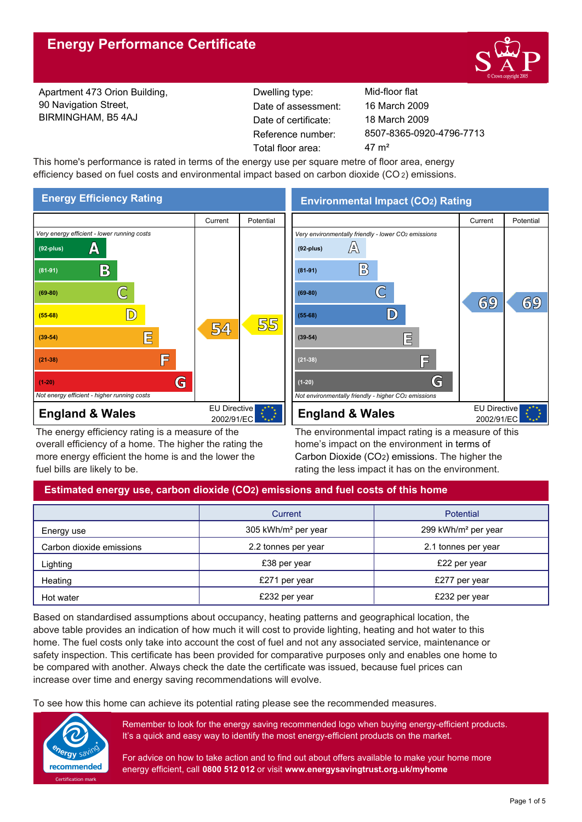

Apartment 473 Orion Building, 90 Navigation Street, BIRMINGHAM, B5 4AJ

Reference number: Dwelling type: Mid-floor flat Date of certificate: Total floor area: 47 m<sup>2</sup> Date of assessment:

8507-8365-0920-4796-7713 18 March 2009 16 March 2009

This home's performance is rated in terms of the energy use per square metre of floor area, energy efficiency based on fuel costs and environmental impact based on carbon dioxide (CO<sub>2</sub>) emissions.



The energy efficiency rating is a measure of the overall efficiency of a home. The higher the rating the more energy efficient the home is and the lower the fuel bills are likely to be.

**Environmental Impact (CO2) Rating**



The environmental impact rating is a measure of this home's impact on the environment in terms of Carbon Dioxide (CO2) emissions. The higher the rating the less impact it has on the environment.

# **Estimated energy use, carbon dioxide (CO2) emissions and fuel costs of this home**

|                          | Current                         | <b>Potential</b>                |  |
|--------------------------|---------------------------------|---------------------------------|--|
| Energy use               | 305 kWh/m <sup>2</sup> per year | 299 kWh/m <sup>2</sup> per year |  |
| Carbon dioxide emissions | 2.2 tonnes per year             | 2.1 tonnes per year             |  |
| Lighting                 | £38 per year                    | £22 per year                    |  |
| Heating                  | £271 per year                   | £277 per year                   |  |
| Hot water                | £232 per year                   | £232 per year                   |  |

Based on standardised assumptions about occupancy, heating patterns and geographical location, the above table provides an indication of how much it will cost to provide lighting, heating and hot water to this home. The fuel costs only take into account the cost of fuel and not any associated service, maintenance or safety inspection. This certificate has been provided for comparative purposes only and enables one home to be compared with another. Always check the date the certificate was issued, because fuel prices can increase over time and energy saving recommendations will evolve.

To see how this home can achieve its potential rating please see the recommended measures.



Remember to look for the energy saving recommended logo when buying energy-efficient products. It's a quick and easy way to identify the most energy-efficient products on the market.

For advice on how to take action and to find out about offers available to make your home more energy efficient, call **0800 512 012** or visit **www.energysavingtrust.org.uk/myhome**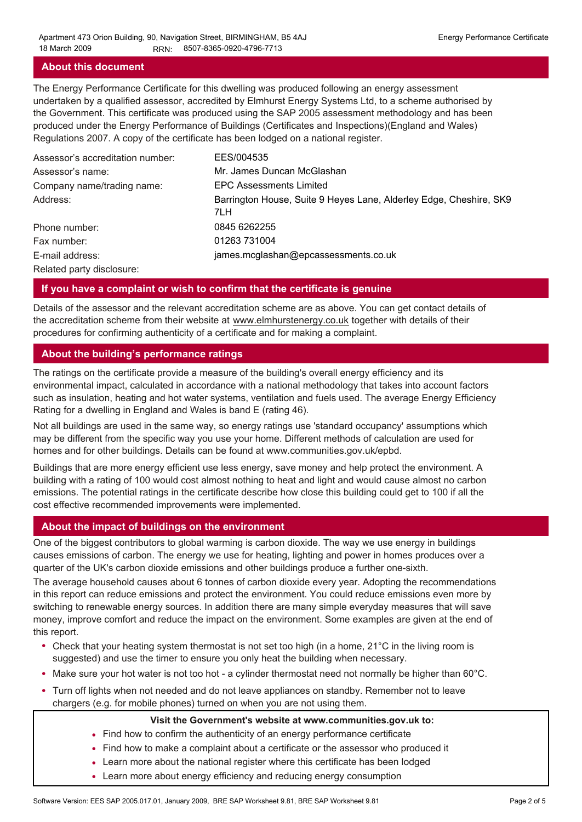#### **About this document**

The Energy Performance Certificate for this dwelling was produced following an energy assessment undertaken by a qualified assessor, accredited by Elmhurst Energy Systems Ltd, to a scheme authorised by the Government. This certificate was produced using the SAP 2005 assessment methodology and has been produced under the Energy Performance of Buildings (Certificates and Inspections)(England and Wales) Regulations 2007. A copy of the certificate has been lodged on a national register.

| Assessor's accreditation number: | EES/004535                                                                |
|----------------------------------|---------------------------------------------------------------------------|
| Assessor's name:                 | Mr. James Duncan McGlashan                                                |
| Company name/trading name:       | <b>EPC Assessments Limited</b>                                            |
| Address:                         | Barrington House, Suite 9 Heyes Lane, Alderley Edge, Cheshire, SK9<br>7LH |
| Phone number:                    | 0845 6262255                                                              |
| Fax number:                      | 01263 731004                                                              |
| E-mail address:                  | james.mcglashan@epcassessments.co.uk                                      |
| Related party disclosure:        |                                                                           |

#### **If you have a complaint or wish to confirm that the certificate is genuine**

Details of the assessor and the relevant accreditation scheme are as above. You can get contact details of the accreditation scheme from their website at www.elmhurstenergy.co.uk together with details of their procedures for confirming authenticity of a certificate and for making a complaint.

#### **About the building's performance ratings**

The ratings on the certificate provide a measure of the building's overall energy efficiency and its environmental impact, calculated in accordance with a national methodology that takes into account factors such as insulation, heating and hot water systems, ventilation and fuels used. The average Energy Efficiency Rating for a dwelling in England and Wales is band E (rating 46).

Not all buildings are used in the same way, so energy ratings use 'standard occupancy' assumptions which may be different from the specific way you use your home. Different methods of calculation are used for homes and for other buildings. Details can be found at www.communities.gov.uk/epbd.

Buildings that are more energy efficient use less energy, save money and help protect the environment. A building with a rating of 100 would cost almost nothing to heat and light and would cause almost no carbon emissions. The potential ratings in the certificate describe how close this building could get to 100 if all the cost effective recommended improvements were implemented.

# **About the impact of buildings on the environment**

One of the biggest contributors to global warming is carbon dioxide. The way we use energy in buildings causes emissions of carbon. The energy we use for heating, lighting and power in homes produces over a quarter of the UK's carbon dioxide emissions and other buildings produce a further one-sixth.

The average household causes about 6 tonnes of carbon dioxide every year. Adopting the recommendations in this report can reduce emissions and protect the environment. You could reduce emissions even more by switching to renewable energy sources. In addition there are many simple everyday measures that will save money, improve comfort and reduce the impact on the environment. Some examples are given at the end of this report.

- Check that your heating system thermostat is not set too high (in a home, 21°C in the living room is suggested) and use the timer to ensure you only heat the building when necessary.
- Make sure your hot water is not too hot a cylinder thermostat need not normally be higher than 60°C.
- Turn off lights when not needed and do not leave appliances on standby. Remember not to leave chargers (e.g. for mobile phones) turned on when you are not using them.

#### **Visit the Government's website at www.communities.gov.uk to:**

- Find how to confirm the authenticity of an energy performance certificate
- Find how to make a complaint about a certificate or the assessor who produced it •
- Learn more about the national register where this certificate has been lodged •
- Learn more about energy efficiency and reducing energy consumption •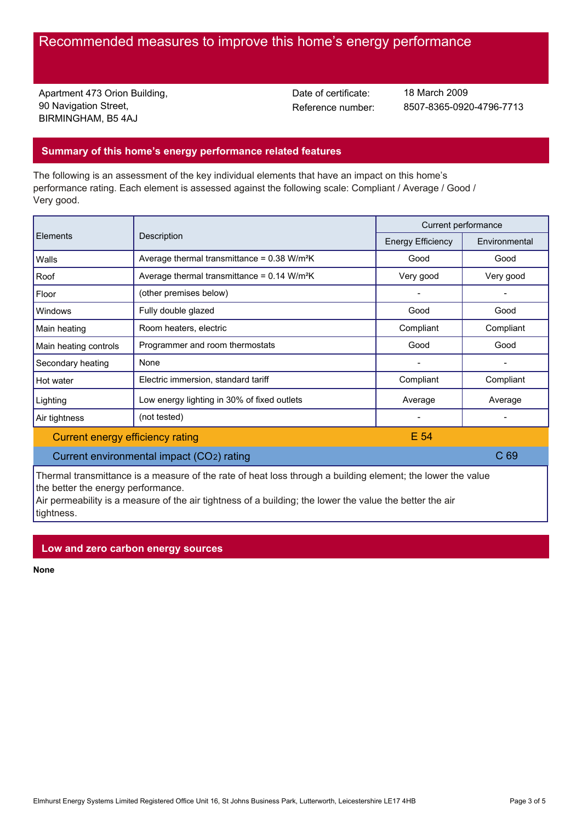# Recommended measures to improve this home's energy performance

Apartment 473 Orion Building, 90 Navigation Street, BIRMINGHAM, B5 4AJ

Date of certificate:

Reference number: 8507-8365-0920-4796-7713 18 March 2009

#### **Summary of this home's energy performance related features**

The following is an assessment of the key individual elements that have an impact on this home's performance rating. Each element is assessed against the following scale: Compliant / Average / Good / Very good.

| Elements                         | Description                                               | Current performance      |                 |
|----------------------------------|-----------------------------------------------------------|--------------------------|-----------------|
|                                  |                                                           | <b>Energy Efficiency</b> | Environmental   |
| Walls                            | Average thermal transmittance = $0.38$ W/m <sup>2</sup> K | Good                     | Good            |
| Roof                             | Average thermal transmittance = $0.14$ W/m <sup>2</sup> K | Very good                | Very good       |
| Floor                            | (other premises below)                                    |                          | $\qquad \qquad$ |
| Windows                          | Fully double glazed                                       | Good                     | Good            |
| Main heating                     | Room heaters, electric                                    | Compliant                | Compliant       |
| Main heating controls            | Programmer and room thermostats                           | Good                     | Good            |
| Secondary heating                | None                                                      |                          |                 |
| Hot water                        | Electric immersion, standard tariff                       | Compliant                | Compliant       |
| Lighting                         | Low energy lighting in 30% of fixed outlets               | Average                  | Average         |
| Air tightness                    | (not tested)                                              |                          |                 |
| Current energy efficiency rating |                                                           | E 54                     |                 |

# Current environmental impact (CO2) rating C 69 Current environmental impact (CO2) rating

Thermal transmittance is a measure of the rate of heat loss through a building element; the lower the value the better the energy performance.

Air permeability is a measure of the air tightness of a building; the lower the value the better the air tightness.

#### **Low and zero carbon energy sources**

**None**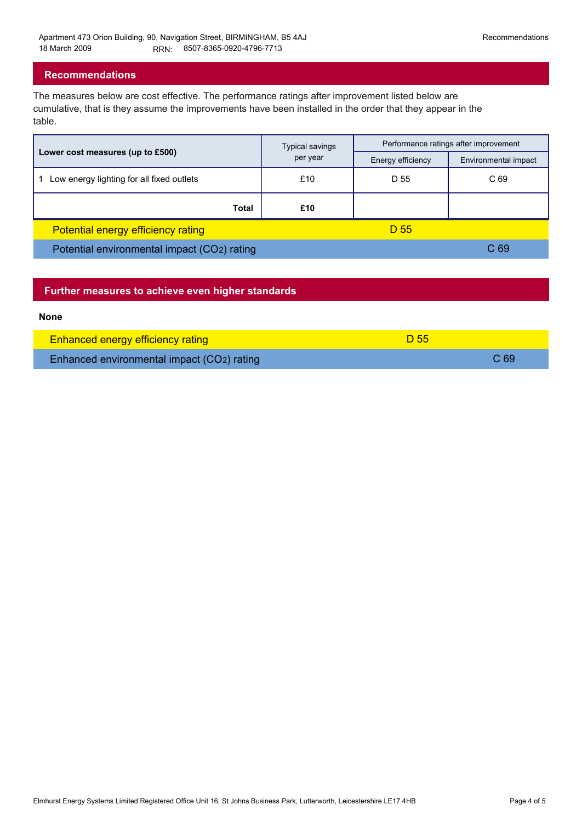#### **Recommendations**

The measures below are cost effective. The performance ratings after improvement listed below are cumulative, that is they assume the improvements have been installed in the order that they appear in the table.

|                                             | <b>Typical savings</b><br>per year | Performance ratings after improvement |                      |
|---------------------------------------------|------------------------------------|---------------------------------------|----------------------|
| Lower cost measures (up to £500)            |                                    | Energy efficiency                     | Environmental impact |
| Low energy lighting for all fixed outlets   | £10                                | D 55                                  | C 69                 |
| Total                                       | £10                                |                                       |                      |
| Potential energy efficiency rating          |                                    | D 55                                  |                      |
| Potential environmental impact (CO2) rating |                                    |                                       | C <sub>69</sub>      |

| Further measures to achieve even higher standards |                 |      |
|---------------------------------------------------|-----------------|------|
| <b>None</b>                                       |                 |      |
| <b>Enhanced energy efficiency rating</b>          | D <sub>55</sub> |      |
| Enhanced environmental impact (CO2) rating        |                 | C 69 |